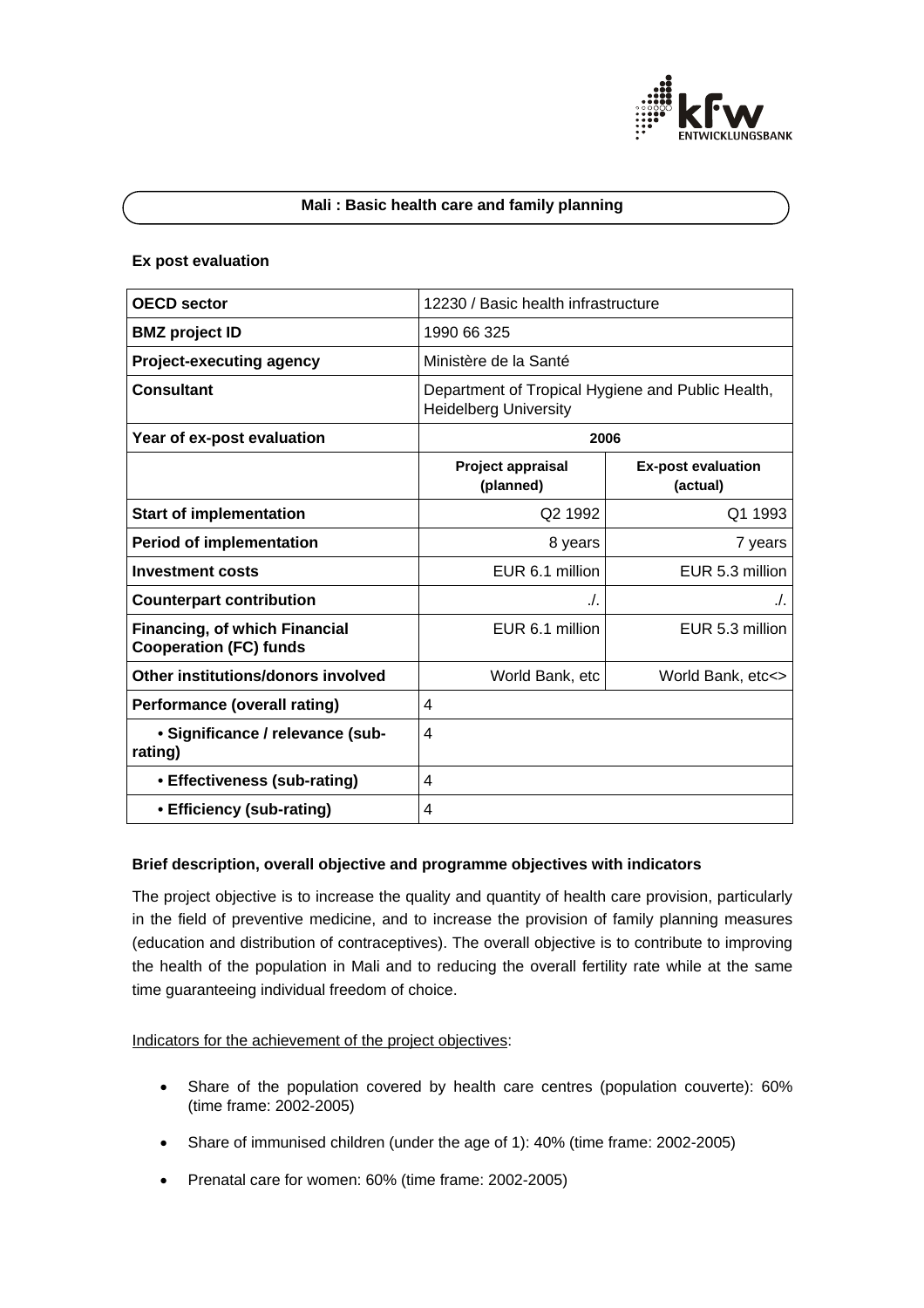

### **Mali : Basic health care and family planning**

### **Ex post evaluation**

| <b>OECD</b> sector                                                    | 12230 / Basic health infrastructure                                               |                                       |
|-----------------------------------------------------------------------|-----------------------------------------------------------------------------------|---------------------------------------|
| <b>BMZ</b> project ID                                                 | 1990 66 325                                                                       |                                       |
| <b>Project-executing agency</b>                                       | Ministère de la Santé                                                             |                                       |
| <b>Consultant</b>                                                     | Department of Tropical Hygiene and Public Health,<br><b>Heidelberg University</b> |                                       |
| Year of ex-post evaluation                                            | 2006                                                                              |                                       |
|                                                                       | Project appraisal<br>(planned)                                                    | <b>Ex-post evaluation</b><br>(actual) |
| <b>Start of implementation</b>                                        | Q <sub>2</sub> 1992                                                               | Q1 1993                               |
| <b>Period of implementation</b>                                       | 8 years                                                                           | 7 years                               |
| <b>Investment costs</b>                                               | EUR 6.1 million                                                                   | EUR 5.3 million                       |
| <b>Counterpart contribution</b>                                       | ./.                                                                               | ./.                                   |
| <b>Financing, of which Financial</b><br><b>Cooperation (FC) funds</b> | EUR 6.1 million                                                                   | EUR 5.3 million                       |
| Other institutions/donors involved                                    | World Bank, etc                                                                   | World Bank, etc<>                     |
| <b>Performance (overall rating)</b>                                   | 4                                                                                 |                                       |
| • Significance / relevance (sub-<br>rating)                           | 4                                                                                 |                                       |
| • Effectiveness (sub-rating)                                          | 4                                                                                 |                                       |
| • Efficiency (sub-rating)                                             | 4                                                                                 |                                       |

## **Brief description, overall objective and programme objectives with indicators**

The project objective is to increase the quality and quantity of health care provision, particularly in the field of preventive medicine, and to increase the provision of family planning measures (education and distribution of contraceptives). The overall objective is to contribute to improving the health of the population in Mali and to reducing the overall fertility rate while at the same time guaranteeing individual freedom of choice.

Indicators for the achievement of the project objectives:

- Share of the population covered by health care centres (population couverte): 60% (time frame: 2002-2005)
- Share of immunised children (under the age of 1): 40% (time frame: 2002-2005)
- Prenatal care for women: 60% (time frame: 2002-2005)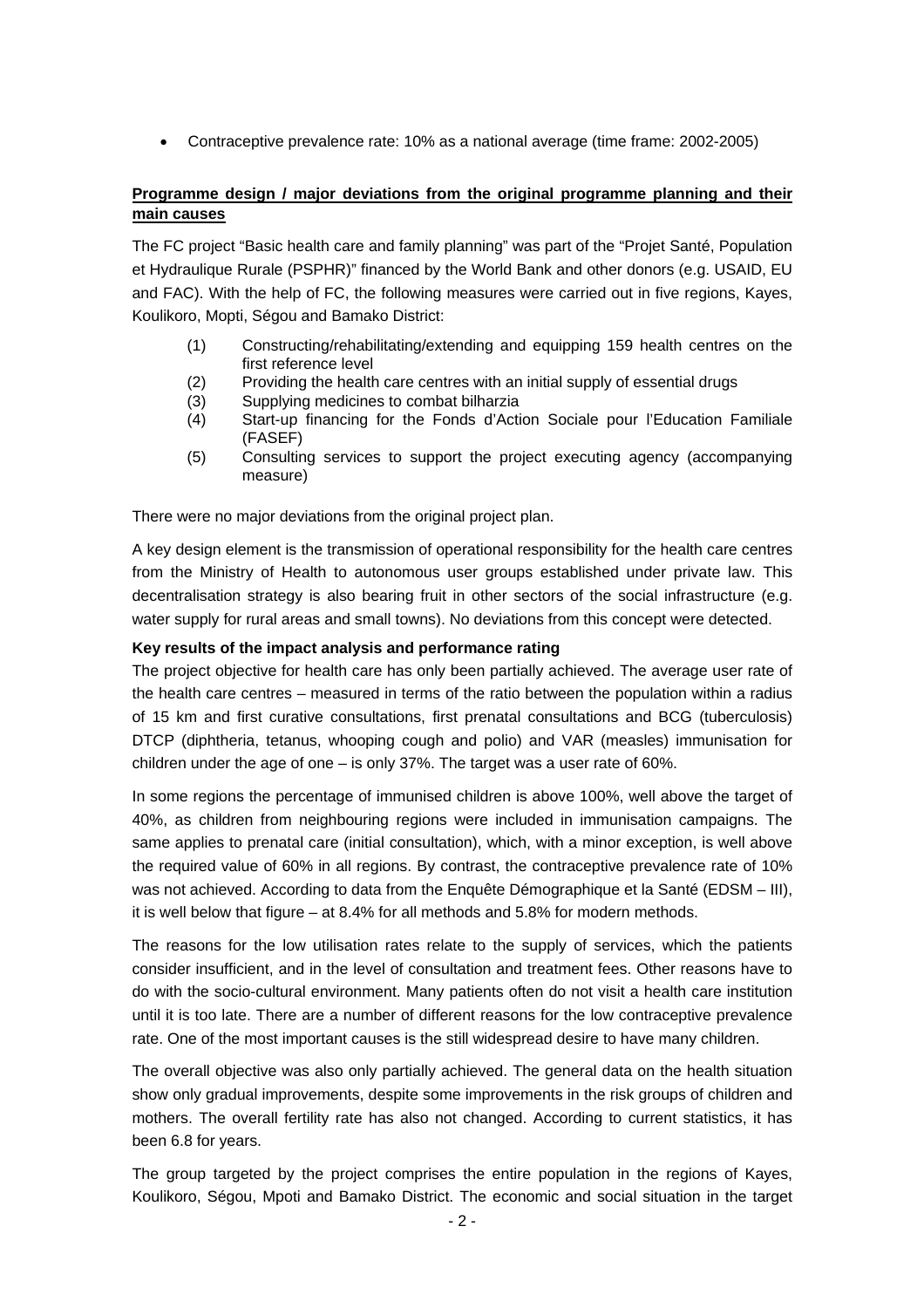• Contraceptive prevalence rate: 10% as a national average (time frame: 2002-2005)

# **Programme design / major deviations from the original programme planning and their main causes**

The FC project "Basic health care and family planning" was part of the "Projet Santé, Population et Hydraulique Rurale (PSPHR)" financed by the World Bank and other donors (e.g. USAID, EU and FAC). With the help of FC, the following measures were carried out in five regions, Kayes, Koulikoro, Mopti, Ségou and Bamako District:

- (1) Constructing/rehabilitating/extending and equipping 159 health centres on the first reference level
- (2) Providing the health care centres with an initial supply of essential drugs
- (3) Supplying medicines to combat bilharzia
- (4) Start-up financing for the Fonds d'Action Sociale pour l'Education Familiale (FASEF)
- (5) Consulting services to support the project executing agency (accompanying measure)

There were no major deviations from the original project plan.

A key design element is the transmission of operational responsibility for the health care centres from the Ministry of Health to autonomous user groups established under private law. This decentralisation strategy is also bearing fruit in other sectors of the social infrastructure (e.g. water supply for rural areas and small towns). No deviations from this concept were detected.

## **Key results of the impact analysis and performance rating**

The project objective for health care has only been partially achieved. The average user rate of the health care centres – measured in terms of the ratio between the population within a radius of 15 km and first curative consultations, first prenatal consultations and BCG (tuberculosis) DTCP (diphtheria, tetanus, whooping cough and polio) and VAR (measles) immunisation for children under the age of one  $-$  is only 37%. The target was a user rate of 60%.

In some regions the percentage of immunised children is above 100%, well above the target of 40%, as children from neighbouring regions were included in immunisation campaigns. The same applies to prenatal care (initial consultation), which, with a minor exception, is well above the required value of 60% in all regions. By contrast, the contraceptive prevalence rate of 10% was not achieved. According to data from the Enquête Démographique et la Santé (EDSM – III), it is well below that figure – at 8.4% for all methods and 5.8% for modern methods.

The reasons for the low utilisation rates relate to the supply of services, which the patients consider insufficient, and in the level of consultation and treatment fees. Other reasons have to do with the socio-cultural environment. Many patients often do not visit a health care institution until it is too late. There are a number of different reasons for the low contraceptive prevalence rate. One of the most important causes is the still widespread desire to have many children.

The overall objective was also only partially achieved. The general data on the health situation show only gradual improvements, despite some improvements in the risk groups of children and mothers. The overall fertility rate has also not changed. According to current statistics, it has been 6.8 for years.

The group targeted by the project comprises the entire population in the regions of Kayes, Koulikoro, Ségou, Mpoti and Bamako District. The economic and social situation in the target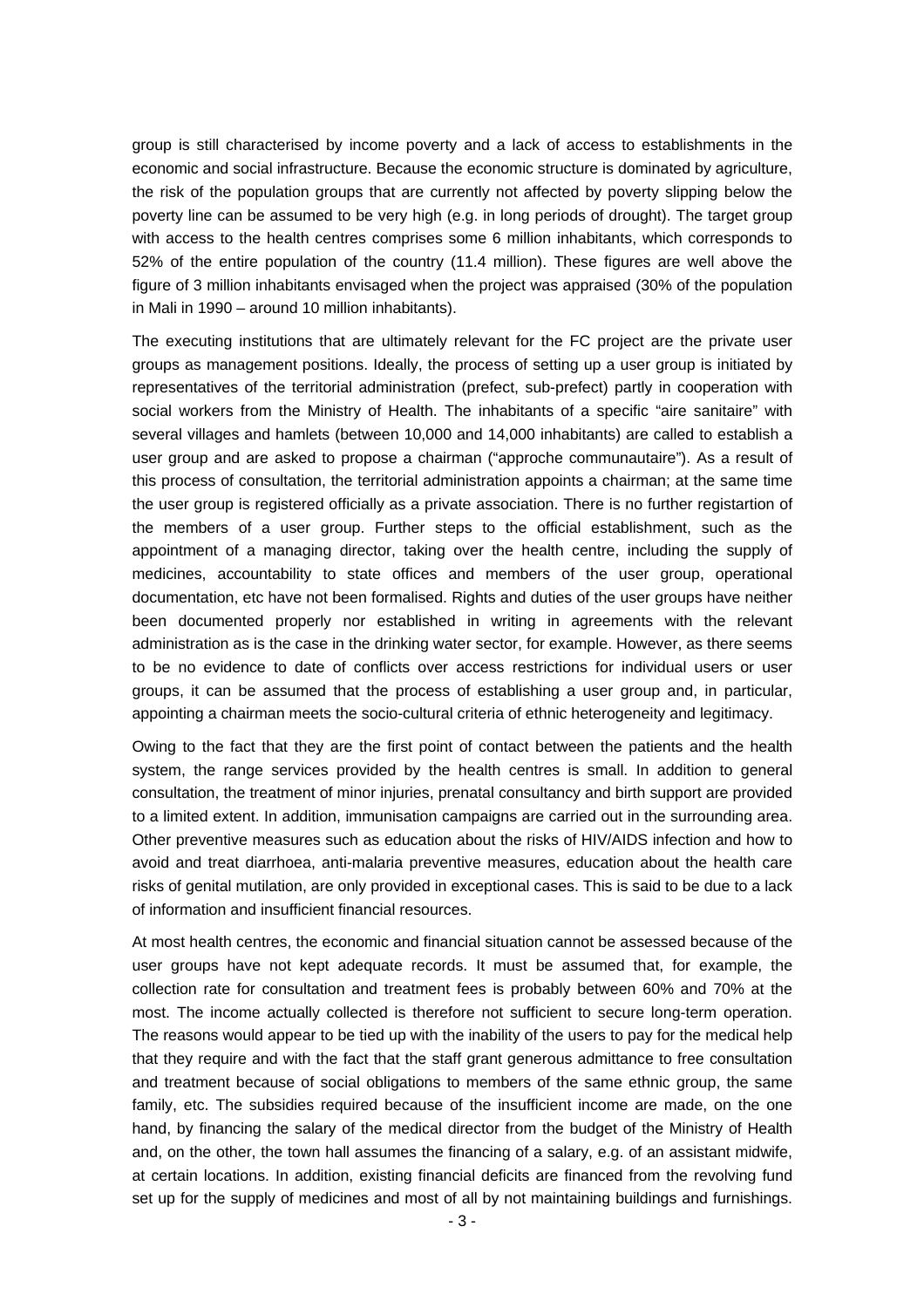group is still characterised by income poverty and a lack of access to establishments in the economic and social infrastructure. Because the economic structure is dominated by agriculture, the risk of the population groups that are currently not affected by poverty slipping below the poverty line can be assumed to be very high (e.g. in long periods of drought). The target group with access to the health centres comprises some 6 million inhabitants, which corresponds to 52% of the entire population of the country (11.4 million). These figures are well above the figure of 3 million inhabitants envisaged when the project was appraised (30% of the population in Mali in 1990 – around 10 million inhabitants).

The executing institutions that are ultimately relevant for the FC project are the private user groups as management positions. Ideally, the process of setting up a user group is initiated by representatives of the territorial administration (prefect, sub-prefect) partly in cooperation with social workers from the Ministry of Health. The inhabitants of a specific "aire sanitaire" with several villages and hamlets (between 10,000 and 14,000 inhabitants) are called to establish a user group and are asked to propose a chairman ("approche communautaire"). As a result of this process of consultation, the territorial administration appoints a chairman; at the same time the user group is registered officially as a private association. There is no further registartion of the members of a user group. Further steps to the official establishment, such as the appointment of a managing director, taking over the health centre, including the supply of medicines, accountability to state offices and members of the user group, operational documentation, etc have not been formalised. Rights and duties of the user groups have neither been documented properly nor established in writing in agreements with the relevant administration as is the case in the drinking water sector, for example. However, as there seems to be no evidence to date of conflicts over access restrictions for individual users or user groups, it can be assumed that the process of establishing a user group and, in particular, appointing a chairman meets the socio-cultural criteria of ethnic heterogeneity and legitimacy.

Owing to the fact that they are the first point of contact between the patients and the health system, the range services provided by the health centres is small. In addition to general consultation, the treatment of minor injuries, prenatal consultancy and birth support are provided to a limited extent. In addition, immunisation campaigns are carried out in the surrounding area. Other preventive measures such as education about the risks of HIV/AIDS infection and how to avoid and treat diarrhoea, anti-malaria preventive measures, education about the health care risks of genital mutilation, are only provided in exceptional cases. This is said to be due to a lack of information and insufficient financial resources.

At most health centres, the economic and financial situation cannot be assessed because of the user groups have not kept adequate records. It must be assumed that, for example, the collection rate for consultation and treatment fees is probably between 60% and 70% at the most. The income actually collected is therefore not sufficient to secure long-term operation. The reasons would appear to be tied up with the inability of the users to pay for the medical help that they require and with the fact that the staff grant generous admittance to free consultation and treatment because of social obligations to members of the same ethnic group, the same family, etc. The subsidies required because of the insufficient income are made, on the one hand, by financing the salary of the medical director from the budget of the Ministry of Health and, on the other, the town hall assumes the financing of a salary, e.g. of an assistant midwife, at certain locations. In addition, existing financial deficits are financed from the revolving fund set up for the supply of medicines and most of all by not maintaining buildings and furnishings.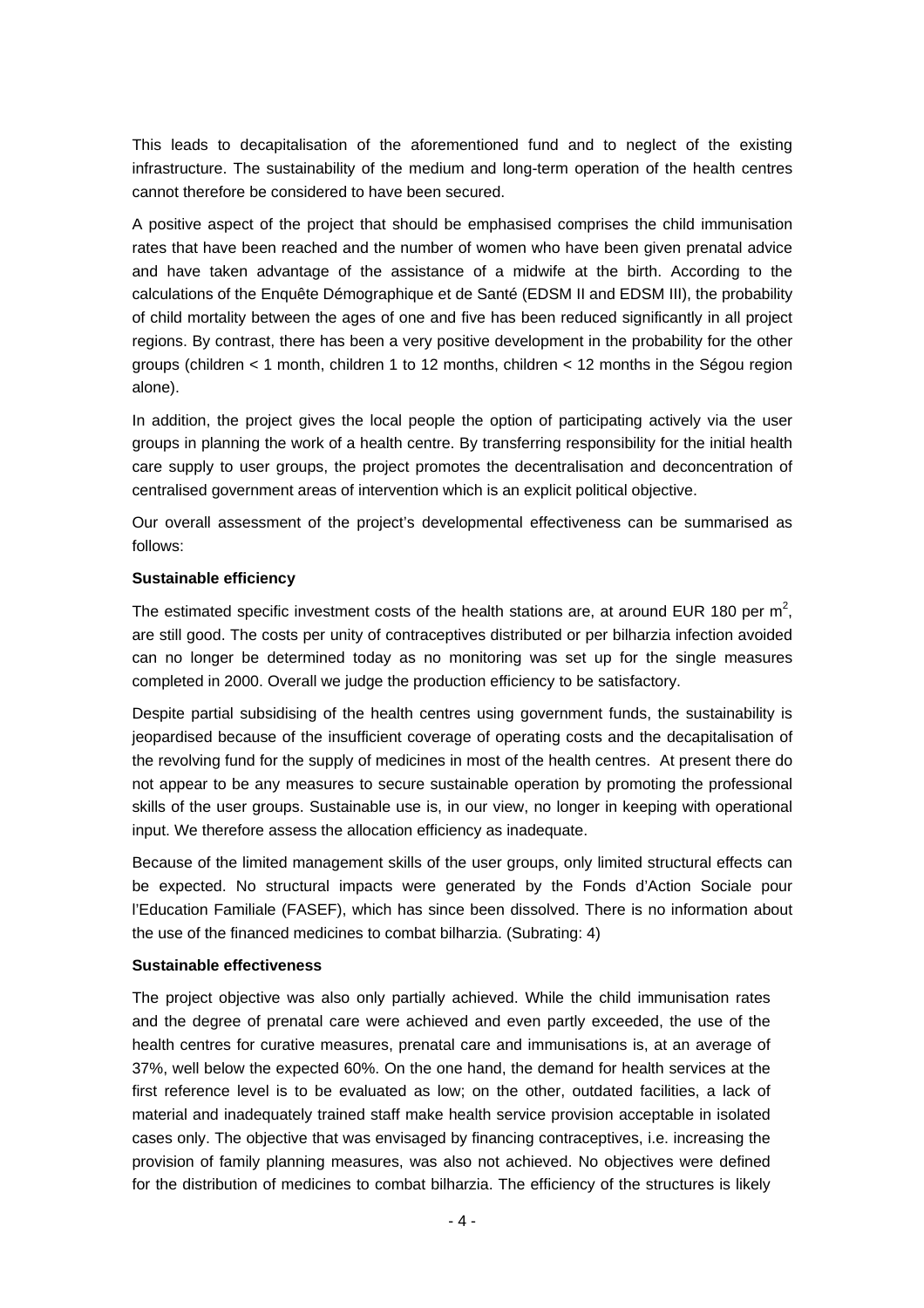This leads to decapitalisation of the aforementioned fund and to neglect of the existing infrastructure. The sustainability of the medium and long-term operation of the health centres cannot therefore be considered to have been secured.

A positive aspect of the project that should be emphasised comprises the child immunisation rates that have been reached and the number of women who have been given prenatal advice and have taken advantage of the assistance of a midwife at the birth. According to the calculations of the Enquête Démographique et de Santé (EDSM II and EDSM III), the probability of child mortality between the ages of one and five has been reduced significantly in all project regions. By contrast, there has been a very positive development in the probability for the other groups (children < 1 month, children 1 to 12 months, children < 12 months in the Ségou region alone).

In addition, the project gives the local people the option of participating actively via the user groups in planning the work of a health centre. By transferring responsibility for the initial health care supply to user groups, the project promotes the decentralisation and deconcentration of centralised government areas of intervention which is an explicit political objective.

Our overall assessment of the project's developmental effectiveness can be summarised as follows:

## **Sustainable efficiency**

The estimated specific investment costs of the health stations are, at around EUR 180 per  $m^2$ , are still good. The costs per unity of contraceptives distributed or per bilharzia infection avoided can no longer be determined today as no monitoring was set up for the single measures completed in 2000. Overall we judge the production efficiency to be satisfactory.

Despite partial subsidising of the health centres using government funds, the sustainability is jeopardised because of the insufficient coverage of operating costs and the decapitalisation of the revolving fund for the supply of medicines in most of the health centres. At present there do not appear to be any measures to secure sustainable operation by promoting the professional skills of the user groups. Sustainable use is, in our view, no longer in keeping with operational input. We therefore assess the allocation efficiency as inadequate.

Because of the limited management skills of the user groups, only limited structural effects can be expected. No structural impacts were generated by the Fonds d'Action Sociale pour l'Education Familiale (FASEF), which has since been dissolved. There is no information about the use of the financed medicines to combat bilharzia. (Subrating: 4)

#### **Sustainable effectiveness**

The project objective was also only partially achieved. While the child immunisation rates and the degree of prenatal care were achieved and even partly exceeded, the use of the health centres for curative measures, prenatal care and immunisations is, at an average of 37%, well below the expected 60%. On the one hand, the demand for health services at the first reference level is to be evaluated as low; on the other, outdated facilities, a lack of material and inadequately trained staff make health service provision acceptable in isolated cases only. The objective that was envisaged by financing contraceptives, i.e. increasing the provision of family planning measures, was also not achieved. No objectives were defined for the distribution of medicines to combat bilharzia. The efficiency of the structures is likely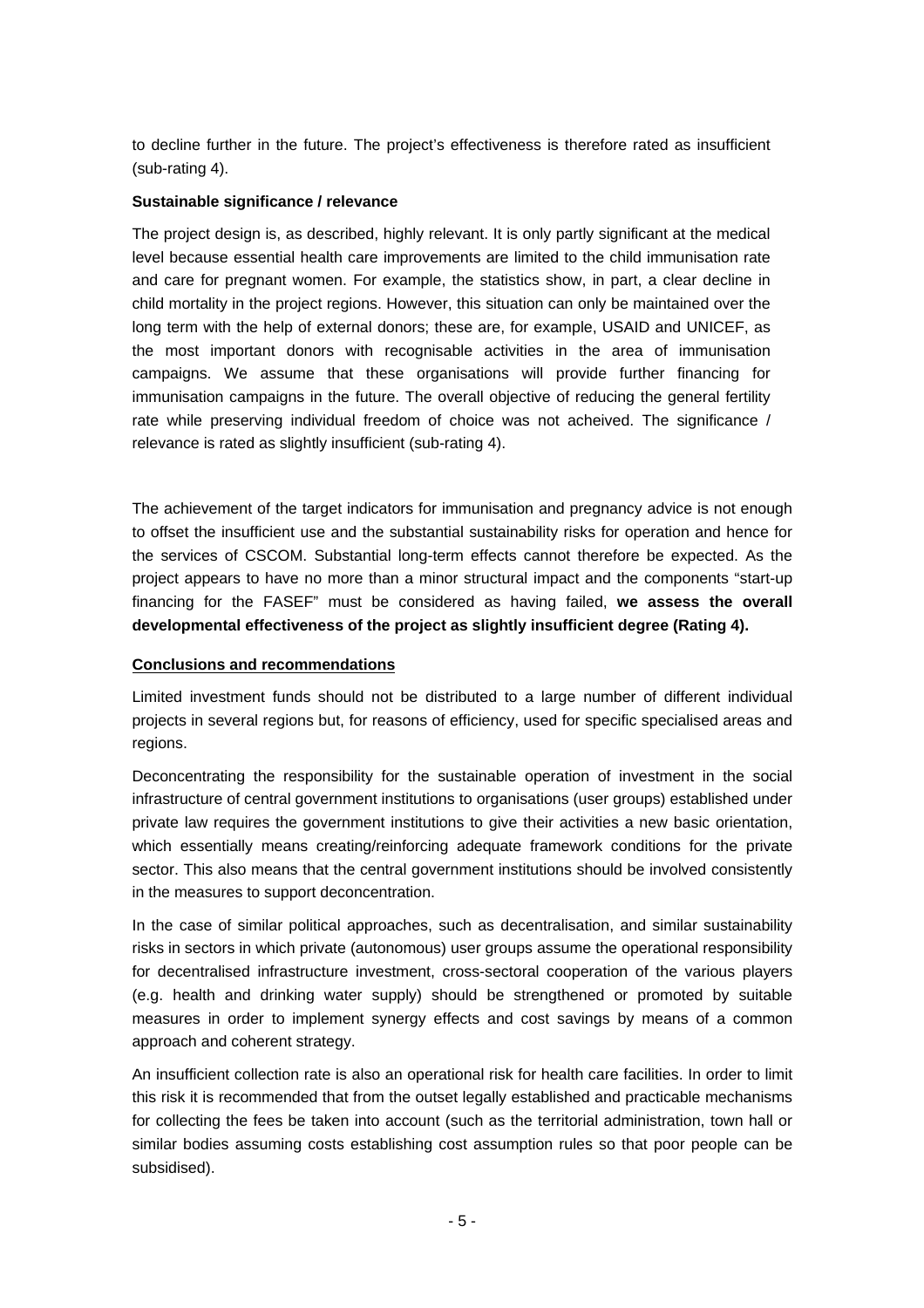to decline further in the future. The project's effectiveness is therefore rated as insufficient (sub-rating 4).

## **Sustainable significance / relevance**

The project design is, as described, highly relevant. It is only partly significant at the medical level because essential health care improvements are limited to the child immunisation rate and care for pregnant women. For example, the statistics show, in part, a clear decline in child mortality in the project regions. However, this situation can only be maintained over the long term with the help of external donors; these are, for example, USAID and UNICEF, as the most important donors with recognisable activities in the area of immunisation campaigns. We assume that these organisations will provide further financing for immunisation campaigns in the future. The overall objective of reducing the general fertility rate while preserving individual freedom of choice was not acheived. The significance / relevance is rated as slightly insufficient (sub-rating 4).

The achievement of the target indicators for immunisation and pregnancy advice is not enough to offset the insufficient use and the substantial sustainability risks for operation and hence for the services of CSCOM. Substantial long-term effects cannot therefore be expected. As the project appears to have no more than a minor structural impact and the components "start-up financing for the FASEF" must be considered as having failed, **we assess the overall developmental effectiveness of the project as slightly insufficient degree (Rating 4).**

## **Conclusions and recommendations**

Limited investment funds should not be distributed to a large number of different individual projects in several regions but, for reasons of efficiency, used for specific specialised areas and regions.

Deconcentrating the responsibility for the sustainable operation of investment in the social infrastructure of central government institutions to organisations (user groups) established under private law requires the government institutions to give their activities a new basic orientation, which essentially means creating/reinforcing adequate framework conditions for the private sector. This also means that the central government institutions should be involved consistently in the measures to support deconcentration.

In the case of similar political approaches, such as decentralisation, and similar sustainability risks in sectors in which private (autonomous) user groups assume the operational responsibility for decentralised infrastructure investment, cross-sectoral cooperation of the various players (e.g. health and drinking water supply) should be strengthened or promoted by suitable measures in order to implement synergy effects and cost savings by means of a common approach and coherent strategy.

An insufficient collection rate is also an operational risk for health care facilities. In order to limit this risk it is recommended that from the outset legally established and practicable mechanisms for collecting the fees be taken into account (such as the territorial administration, town hall or similar bodies assuming costs establishing cost assumption rules so that poor people can be subsidised).